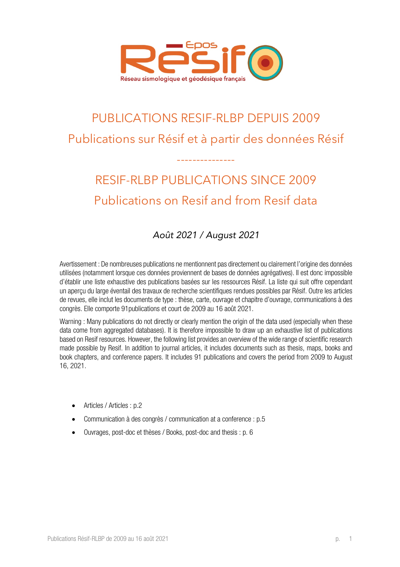

## PUBLICATIONS RESIF-RLBP DEPUIS 2009 Publications sur Résif et à partir des données Résif

# RESIF-RLBP PUBLICATIONS SINCE 2009 Publications on Resif and from Resif data

---------------

## *Août 2021 / August 2021*

Avertissement : De nombreuses publications ne mentionnent pas directement ou clairement l'origine des données utilisées (notamment lorsque ces données proviennent de bases de données agrégatives). Il est donc impossible d'établir une liste exhaustive des publications basées sur les ressources Résif. La liste qui suit offre cependant un aperçu du large éventail des travaux de recherche scientifiques rendues possibles par Résif. Outre les articles de revues, elle inclut les documents de type : thèse, carte, ouvrage et chapitre d'ouvrage, communications à des congrès. Elle comporte 91publications et court de 2009 au 16 août 2021.

Warning : Many publications do not directly or clearly mention the origin of the data used (especially when these data come from aggregated databases). It is therefore impossible to draw up an exhaustive list of publications based on Resif resources. However, the following list provides an overview of the wide range of scientific research made possible by Resif. In addition to journal articles, it includes documents such as thesis, maps, books and book chapters, and conference papers. It includes 91 publications and covers the period from 2009 to August 16, 2021.

- Articles / Articles : p.2
- Communication à des congrès / communication at a conference : p.5
- Ouvrages, post-doc et thèses / Books, post-doc and thesis : p. 6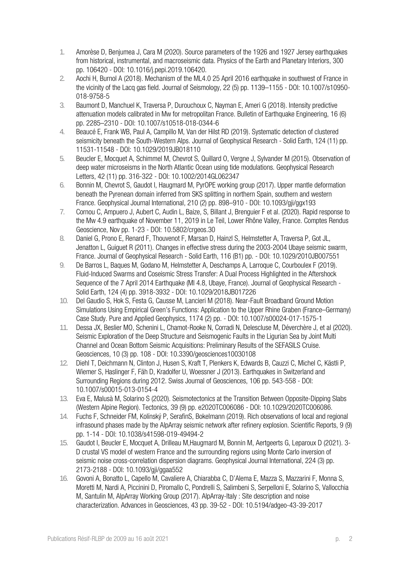- 1. Amorèse D, Benjumea J, Cara M (2020). Source parameters of the 1926 and 1927 Jersey earthquakes from historical, instrumental, and macroseismic data. Physics of the Earth and Planetary Interiors, 300 pp. 106420 - DOI: 10.1016/j.pepi.2019.106420.
- 2. Aochi H, Burnol A (2018). Mechanism of the ML4.0 25 April 2016 earthquake in southwest of France in the vicinity of the Lacq gas field. Journal of Seismology, 22 (5) pp. 1139–1155 - DOI: 10.1007/s10950- 018-9758-5
- 3. Baumont D, Manchuel K, Traversa P, Durouchoux C, Nayman E, Ameri G (2018). Intensity predictive attenuation models calibrated in Mw for metropolitan France. Bulletin of Earthquake Engineering, 16 (6) pp. 2285–2310 - DOI: 10.1007/s10518-018-0344-6
- 4. Beaucé E, Frank WB, Paul A, Campillo M, Van der Hilst RD (2019). Systematic detection of clustered seismicity beneath the South-Western Alps. Journal of Geophysical Research - Solid Earth, 124 (11) pp. 11531-11548 - DOI: 10.1029/2019JB018110
- 5. Beucler E, Mocquet A, Schimmel M, Chevrot S, Quillard O, Vergne J, Sylvander M (2015). Observation of deep water microseisms in the North Atlantic Ocean using tide modulations. Geophysical Research Letters, 42 (11) pp. 316-322 - DOI: 10.1002/2014GL062347
- 6. Bonnin M, Chevrot S, Gaudot I, Haugmard M, PyrOPE working group (2017). Upper mantle deformation beneath the Pyrenean domain inferred from SKS splitting in northern Spain, southern and western France. Geophysical Journal International, 210 (2) pp. 898–910 - DOI: 10.1093/gji/ggx193
- 7. Cornou C, Ampuero J, Aubert C, Audin L, Baize, S, Billant J, Brenguier F et al. (2020). Rapid response to the Mw 4.9 earthquake of November 11, 2019 in Le Teil, Lower Rhône Valley, France. Comptes Rendus Geoscience, Nov pp. 1-23 - DOI: 10.5802/crgeos.30
- 8. Daniel G, Prono E, Renard F, Thouvenot F, Marsan D, Hainzl S, Helmstetter A, Traversa P, Got JL, Jenatton L, Guiguet R (2011). Changes in effective stress during the 2003-2004 Ubaye seismic swarm, France. Journal of Geophysical Research - Solid Earth, 116 (B1) pp. - DOI: 10.1029/2010JB007551
- 9. De Barros L, Baques M, Godano M, Helmstetter A, Deschamps A, Larroque C, Courboulex F (2019). Fluid-Induced Swarms and Coseismic Stress Transfer: A Dual Process Highlighted in the Aftershock Sequence of the 7 April 2014 Earthquake (Ml 4.8, Ubaye, France). Journal of Geophysical Research - Solid Earth, 124 (4) pp. 3918-3932 - DOI: 10.1029/2018JB017226
- 10. Del Gaudio S, Hok S, Festa G, Causse M, Lancieri M (2018). Near-Fault Broadband Ground Motion Simulations Using Empirical Green's Functions: Application to the Upper Rhine Graben (France–Germany) Case Study. Pure and Applied Geophysics, 1174 (2) pp. - DOI: 10.1007/s00024-017-1575-1
- 11. Dessa JX, Beslier MO, Schenini L, Chamot-Rooke N, Corradi N, Delescluse M, Déverchère J, et al (2020). Seismic Exploration of the Deep Structure and Seismogenic Faults in the Ligurian Sea by Joint Multi Channel and Ocean Bottom Seismic Acquisitions: Preliminary Results of the SEFASILS Cruise. Geosciences, 10 (3) pp. 108 - DOI: 10.3390/geosciences10030108
- 12. Diehl T, Deichmann N, Clinton J, Husen S, Kraft T, Plenkers K, Edwards B, Cauzzi C, Michel C, Kästli P, Wiemer S, Haslinger F, Fäh D, Kradolfer U, Woessner J (2013). Earthquakes in Switzerland and Surrounding Regions during 2012. Swiss Journal of Geosciences, 106 pp. 543-558 - DOI: 10.1007/s00015-013-0154-4
- 13. Eva E, Malusà M, Solarino S (2020). Seismotectonics at the Transition Between Opposite‐Dipping Slabs (Western Alpine Region). Tectonics, 39 (9) pp. e2020TC006086 - DOI: 10.1029/2020TC006086.
- 14. Fuchs F, Schneider FM, Kolínský P, SerafinS, Bokelmann (2019). Rich observations of local and regional infrasound phases made by the AlpArray seismic network after refinery explosion. Scientific Reports, 9 (9) pp. 1-14 - DOI: 10.1038/s41598-019-49494-2
- 15. Gaudot I, Beucler E, Mocquet A, Drilleau M,Haugmard M, Bonnin M, Aertgeerts G, Leparoux D (2021). 3- D crustal VS model of western France and the surrounding regions using Monte Carlo inversion of seismic noise cross-correlation dispersion diagrams. Geophysical Journal International, 224 (3) pp. 2173-2188 - DOI: 10.1093/gji/ggaa552
- 16. Govoni A, Bonatto L, Capello M, Cavaliere A, Chiarabba C, D'Alema E, Mazza S, Mazzarini F, Monna S, Moretti M, Nardi A, Piccinini D, Piromallo C, Pondrelli S, Salimbeni S, Serpelloni E, Solarino S, Vallocchia M, Santulin M, AlpArray Working Group (2017). AlpArray-Italy : Site description and noise characterization. Advances in Geosciences, 43 pp. 39-52 - DOI: 10.5194/adgeo-43-39-2017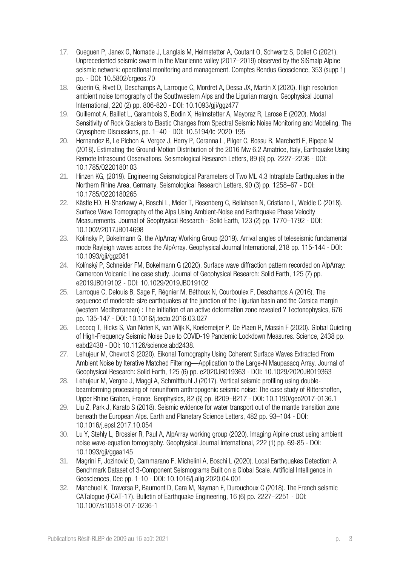- 17. Gueguen P, Janex G, Nomade J, Langlais M, Helmstetter A, Coutant O, Schwartz S, Dollet C (2021). Unprecedented seismic swarm in the Maurienne valley (2017–2019) observed by the SISmalp Alpine seismic network: operational monitoring and management. Comptes Rendus Geoscience, 353 (supp 1) pp. - DOI: 10.5802/crgeos.70
- 18. Guerin G, Rivet D, Deschamps A, Larroque C, Mordret A, Dessa JX, Martin X (2020). High resolution ambient noise tomography of the Southwestern Alps and the Ligurian margin. Geophysical Journal International, 220 (2) pp. 806-820 - DOI: 10.1093/gji/ggz477
- 19. Guillemot A, Baillet L, Garambois S, Bodin X, Helmstetter A, Mayoraz R, Larose E (2020). Modal Sensitivity of Rock Glaciers to Elastic Changes from Spectral Seismic Noise Monitoring and Modeling. The Cryosphere Discussions, pp. 1–40 - DOI: 10.5194/tc-2020-195
- 20. Hernandez B, Le Pichon A, Vergoz J, Herry P, Ceranna L, Pilger C, Bossu R, Marchetti E, Ripepe M (2018). Estimating the Ground‐Motion Distribution of the 2016 Mw 6.2 Amatrice, Italy, Earthquake Using Remote Infrasound Observations. Seismological Research Letters, 89 (6) pp. 2227–2236 - DOI: 10.1785/0220180103
- 21. Hinzen KG, (2019). Engineering Seismological Parameters of Two ML 4.3 Intraplate Earthquakes in the Northern Rhine Area, Germany. Seismological Research Letters, 90 (3) pp. 1258–67 - DOI: 10.1785/0220180265
- 22. Kästle ED, El‐Sharkawy A, Boschi L, Meier T, Rosenberg C, Bellahsen N, Cristiano L, Weidle C (2018). Surface Wave Tomography of the Alps Using Ambient-Noise and Earthquake Phase Velocity Measurements. Journal of Geophysical Research - Solid Earth, 123 (2) pp. 1770–1792 - DOI: 10.1002/2017JB014698
- 23. Kolinsky P, Bokelmann G, the AlpArray Working Group (2019). Arrival angles of teleseismic fundamental mode Rayleigh waves across the AlpArray. Geophysical Journal International, 218 pp. 115-144 - DOI: 10.1093/gji/ggz081
- 24. Kolínský P, Schneider FM, Bokelmann G (2020). Surface wave diffraction pattern recorded on AlpArray: Cameroon Volcanic Line case study. Journal of Geophysical Research: Solid Earth, 125 (7) pp. e2019JB019102 - DOI: 10.1029/2019JBO19102
- 25. Larroque C, Delouis B, Sage F, Régnier M, Béthoux N, Courboulex F, Deschamps A (2016). The sequence of moderate-size earthquakes at the junction of the Liqurian basin and the Corsica margin (western Mediterranean) : The initiation of an active deformation zone revealed ? Tectonophysics, 676 pp. 135-147 - DOI: 10.1016/j.tecto.2016.03.027
- 26. Lecocq T, Hicks S, Van Noten K, van Wijk K, Koelemeijer P, De Plaen R, Massin F (2020). Global Quieting of High-Frequency Seismic Noise Due to COVID-19 Pandemic Lockdown Measures. Science, 2438 pp. eabd2438 - DOI: 10.1126/science.abd2438.
- 27. Lehujeur M, Chevrot S (2020). Eikonal Tomography Using Coherent Surface Waves Extracted From Ambient Noise by Iterative Matched Filtering—Application to the Large‐N Maupasacq Array. Journal of Geophysical Research: Solid Earth, 125 (6) pp. e2020JB019363 - DOI: 10.1029/2020JB019363
- 28. Lehujeur M, Vergne J, Maggi A, Schmittbuhl J (2017). Vertical seismic profiling using doublebeamforming processing of nonuniform anthropogenic seismic noise: The case study of Rittershoffen, Upper Rhine Graben, France. Geophysics, 82 (6) pp. B209–B217 - DOI: 10.1190/geo2017-0136.1
- 29. Liu Z, Park J, Karato S (2018). Seismic evidence for water transport out of the mantle transition zone beneath the European Alps. Earth and Planetary Science Letters, 482 pp. 93–104 - DOI: 10.1016/j.epsl.2017.10.054
- 30. Lu Y, Stehly L, Brossier R, Paul A, AlpArray working group (2020). Imaging Alpine crust using ambient noise wave-equation tomography. Geophysical Journal International, 222 (1) pp. 69-85 - DOI: 10.1093/gji/ggaa145
- 31. Magrini F, Jozinović D, Cammarano F, Michelini A, Boschi L (2020). Local Earthquakes Detection: A Benchmark Dataset of 3-Component Seismograms Built on a Global Scale. Artificial Intelligence in Geosciences, Dec pp. 1-10 - DOI: 10.1016/j.aiig.2020.04.001
- 32. Manchuel K, Traversa P, Baumont D, Cara M, Nayman E, Durouchoux C (2018). The French seismic CATalogue (FCAT-17). Bulletin of Earthquake Engineering, 16 (6) pp. 2227–2251 - DOI: 10.1007/s10518-017-0236-1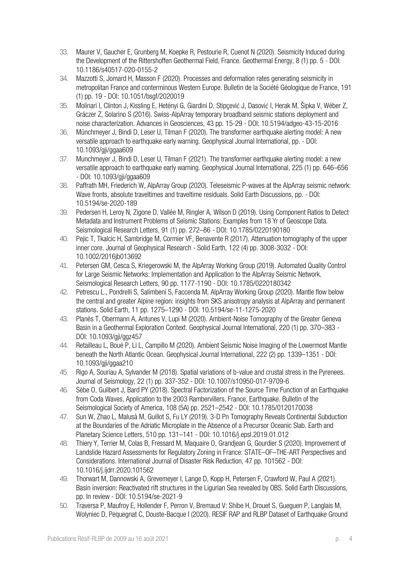- 33. Maurer V, Gaucher E, Grunberg M, Koepke R, Pestourie R, Cuenot N (2020). Seismicity Induced during the Development of the Rittershoffen Geothermal Field, France. Geothermal Energy, 8 (1) pp. 5 - DOI: 10.1186/s40517-020-0155-2
- 34. Mazzotti S, Jomard H, Masson F (2020). Processes and deformation rates generating seismicity in metropolitan France and conterminous Western Europe. Bulletin de la Société Géologique de France, 191 (1) pp. 19 - DOI: 10.1051/bsgf/2020019
- 35. Molinari I, Clinton J, Kissling E, Hetényi G, Giardini D, Stipçević J, Dasović I, Herak M, Šipka V, Wéber Z, Gráczer Z, Solarino S (2016). Swiss-AlpArray temporary broadband seismic stations deployment and noise characterization. Advances in Geosciences, 43 pp. 15-29 - DOI: 10.5194/adgeo-43-15-2016
- 36. Münchmeyer J, Bindi D, Leser U, Tilman F (2020). The transformer earthquake alerting model: A new versatile approach to earthquake early warning. Geophysical Journal International, pp. - DOI: 10.1093/gji/ggaa609
- 37. Munchmeyer J, Bindi D, Leser U, Tilman F (2021). The transformer earthquake alerting model: a new versatile approach to earthquake early warning. Geophysical Journal International, 225 (1) pp. 646–656 - DOI: 10.1093/gji/ggaa609
- 38. Paffrath MH, Friederich W, AlpArray Group (2020). Teleseismic P-waves at the AlpArray seismic network: Wave fronts, absolute traveltimes and traveltime residuals. Solid Earth Discussions, pp. - DOI: 10.5194/se-2020-189
- 39. Pedersen H, Leroy N, Zigone D, Vallée M, Ringler A, Wilson D (2019). Using Component Ratios to Detect Metadata and Instrument Problems of Seismic Stations: Examples from 18 Yr of Geoscope Data. Seismological Research Letters, 91 (1) pp. 272–86 - DOI: 10.1785/0220190180
- 40. Pejic T, Tkalcic H, Sambridge M, Cormier VF, Benavente R (2017). Attenuation tomography of the upper inner core. Journal of Geophysical Research - Solid Earth, 122 (4) pp. 3008-3032 - DOI: 10.1002/2016jb013692
- 41. Petersen GM, Cesca S, Kriegerowski M, the AlpArray Working Group (2019). Automated Quality Control for Large Seismic Networks: Implementation and Application to the AlpArray Seismic Network. Seismological Research Letters, 90 pp. 1177-1190 - DOI: 10.1785/0220180342
- 42. Petrescu L., Pondrelli S, Salimbeni S, Faccenda M, AlpArray Working Group (2020). Mantle flow below the central and greater Alpine region: insights from SKS anisotropy analysis at AlpArray and permanent stations. Solid Earth, 11 pp. 1275–1290 - DOI: 10.5194/se-11-1275-2020
- 43. Planès T, Obermann A, Antunes V, Lupi M (2020). Ambient-Noise Tomography of the Greater Geneva Basin in a Geothermal Exploration Context. Geophysical Journal International, 220 (1) pp. 370–383 - DOI: 10.1093/gji/ggz457
- 44. Retailleau L, Boué P, Li L, Campillo M (2020). Ambient Seismic Noise Imaging of the Lowermost Mantle beneath the North Atlantic Ocean. Geophysical Journal International, 222 (2) pp. 1339–1351 - DOI: 10.1093/gji/ggaa210
- 45. Rigo A, Souriau A, Sylvander M (2018). Spatial variations of b-value and crustal stress in the Pyrenees. Journal of Seismology, 22 (1) pp. 337-352 - DOI: 10.1007/s10950-017-9709-6
- 46. Sèbe O, Guilbert J, Bard PY (2018). Spectral Factorization of the Source Time Function of an Earthquake from Coda Waves, Application to the 2003 Rambervillers, France, Earthquake. Bulletin of the Seismological Society of America, 108 (5A) pp. 2521–2542 - DOI: 10.1785/0120170038
- 47. Sun W, Zhao L, Malusà M, Guillot S, Fu LY (2019). 3-D Pn Tomography Reveals Continental Subduction at the Boundaries of the Adriatic Microplate in the Absence of a Precursor Oceanic Slab. Earth and Planetary Science Letters, 510 pp. 131–141 - DOI: 10.1016/j.epsl.2019.01.012
- 48. Thiery Y, Terrier M, Colas B, Fressard M, Maquaire O, Grandjean G, Gourdier S (2020). Improvement of Landslide Hazard Assessments for Regulatory Zoning in France: STATE–OF–THE-ART Perspectives and Considerations. International Journal of Disaster Risk Reduction, 47 pp. 101562 - DOI: 10.1016/j.ijdrr.2020.101562
- 49. Thorwart M, Dannowski A, Grevemeyer I, Lange D, Kopp H, Petersen F, Crawford W, Paul A (2021). Basin inversion: Reactivated rift structures in the Ligurian Sea revealed by OBS. Solid Earth Discussions, pp. In review - DOI: 10.5194/se-2021-9
- 50. Traversa P, Maufroy E, Hollender F, Perron V, Bremaud V: Shibe H, Drouet S, Gueguen P, Langlais M, Wolyniec D, Pequegnat C, Douste-Bacque I (2020). RESIF RAP and RLBP Dataset of Earthquake Ground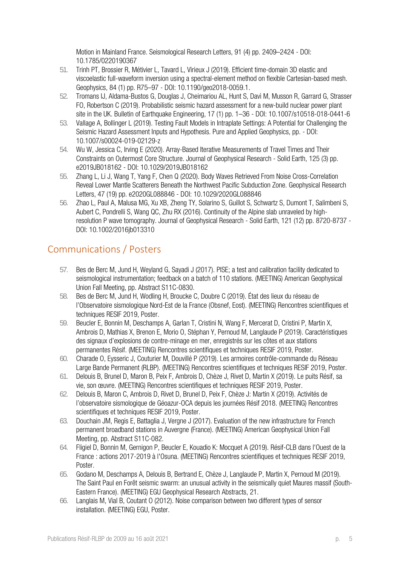Motion in Mainland France. Seismological Research Letters, 91 (4) pp. 2409–2424 - DOI: 10.1785/0220190367

- 51. Trinh PT, Brossier R, Métivier L, Tavard L, Virieux J (2019). Efficient time-domain 3D elastic and viscoelastic full-waveform inversion using a spectral-element method on flexible Cartesian-based mesh. Geophysics, 84 (1) pp. R75–97 - DOI: 10.1190/geo2018-0059.1.
- 52. Tromans IJ, Aldama-Bustos G, Douglas J, Cheimariou AL, Hunt S, Davì M, Musson R, Garrard G, Strasser FO, Robertson C (2019). Probabilistic seismic hazard assessment for a new-build nuclear power plant site in the UK. Bulletin of Earthquake Engineering, 17 (1) pp. 1–36 - DOI: 10.1007/s10518-018-0441-6
- 53. Vallage A, Bollinger L (2019). Testing Fault Models in Intraplate Settings: A Potential for Challenging the Seismic Hazard Assessment Inputs and Hypothesis. Pure and Applied Geophysics, pp. - DOI: 10.1007/s00024-019-02129-z
- 54. Wu W, Jessica C, Irving E (2020). Array‐Based Iterative Measurements of Travel Times and Their Constraints on Outermost Core Structure. Journal of Geophysical Research - Solid Earth, 125 (3) pp. e2019JB018162 - DOI: 10.1029/2019JB018162
- 55. Zhang L, Li J, Wang T, Yang F, Chen Q (2020). Body Waves Retrieved From Noise Cross‐Correlation Reveal Lower Mantle Scatterers Beneath the Northwest Pacific Subduction Zone. Geophysical Research Letters, 47 (19) pp. e2020GL088846 - DOI: 10.1029/2020GL088846
- 56. Zhao L, Paul A, Malusa MG, Xu XB, Zheng TY, Solarino S, Guillot S, Schwartz S, Dumont T, Salimbeni S, Aubert C, Pondrelli S, Wang QC, Zhu RX (2016). Continuity of the Alpine slab unraveled by highresolution P wave tomography. Journal of Geophysical Research - Solid Earth, 121 (12) pp. 8720-8737 - DOI: 10.1002/2016jb013310

## Communications / Posters

- 57. Bes de Berc M, Jund H, Weyland G, Sayadi J (2017). PISE; a test and calibration facility dedicated to seismological instrumentation; feedback on a batch of 110 stations. (MEETING) American Geophysical Union Fall Meeting, pp. Abstract S11C-0830.
- 58. Bes de Berc M, Jund H, Wodling H, Broucke C, Doubre C (2019). État des lieux du réseau de l'Observatoire sismologique Nord-Est de la France (Obsnef, Eost). (MEETING) Rencontres scientifiques et techniques RESIF 2019, Poster.
- 59. Beucler E, Bonnin M, Deschamps A, Garlan T, Cristini N, Wang F, Mercerat D, Cristini P, Martin X, Ambrois D, Mathias X, Brenon E, Morio O, Stéphan Y, Pernoud M, Langlaude P (2019). Caractéristiques des signaux d'explosions de contre-minage en mer, enregistrés sur les côtes et aux stations permanentes Résif. (MEETING) Rencontres scientifiques et techniques RESIF 2019, Poster.
- 60. Charade O, Eysseric J, Couturier M, Douvillé P (2019). Les armoires contrôle-commande du Réseau Large Bande Permanent (RLBP). (MEETING) Rencontres scientifiques et techniques RESIF 2019, Poster.
- 61. Delouis B, Brunel D, Maron B, Peix F, Ambrois D, Chèze J, Rivet D, Martin X (2019). Le puits Résif, sa vie, son œuvre. (MEETING) Rencontres scientifiques et techniques RESIF 2019, Poster.
- 62. Delouis B, Maron C, Ambrois D, Rivet D, Brunel D, Peix F, Chèze J: Martin X (2019). Activités de l'observatoire sismologique de Géoazur-OCA depuis les journées Résif 2018. (MEETING) Rencontres scientifiques et techniques RESIF 2019, Poster.
- 63. Douchain JM, Regis E, Battaglia J, Vergne J (2017). Evaluation of the new infrastructure for French permanent broadband stations in Auvergne (France). (MEETING) American Geophysical Union Fall Meeting, pp. Abstract S11C-082.
- 64. Fligiel D, Bonnin M, Gernigon P, Beucler E, Kouadio K: Mocquet A (2019). Résif-CLB dans l'Ouest de la France : actions 2017-2019 à l'Osuna. (MEETING) Rencontres scientifiques et techniques RESIF 2019, Poster.
- 65. Godano M, Deschamps A, Delouis B, Bertrand E, Chèze J, Langlaude P, Martin X, Pernoud M (2019). The Saint Paul en Forêt seismic swarm: an unusual activity in the seismically quiet Maures massif (South-Eastern France). (MEETING) EGU Geophysical Research Abstracts, 21.
- 66. Langlais M, Vial B, Coutant O (2012). Noise comparison between two different types of sensor installation. (MEETING) EGU, Poster.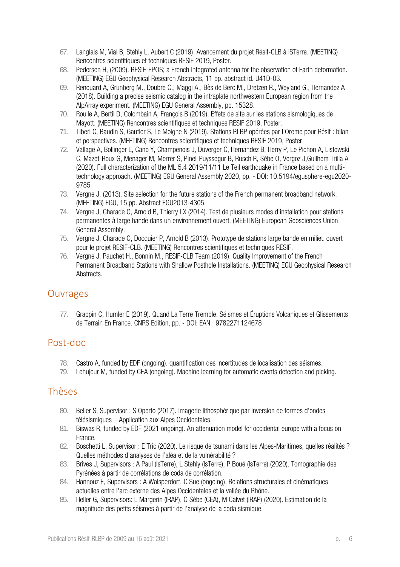- 67. Langlais M, Vial B, Stehly L, Aubert C (2019). Avancement du projet Résif-CLB à ISTerre. (MEETING) Rencontres scientifiques et techniques RESIF 2019, Poster.
- 68. Pedersen H, (2009). RESIF-EPOS; a French integrated antenna for the observation of Earth deformation. (MEETING) EGU Geophysical Research Abstracts, 11 pp. abstract id. U41D-03.
- 69. Renouard A, Grunberg M., Doubre C., Maggi A., Bès de Berc M., Dretzen R., Weyland G., Hernandez A (2018). Building a precise seismic catalog in the intraplate northwestern European region from the AlpArray experiment. (MEETING) EGU General Assembly, pp. 15328.
- 70. Roulle A, Bertil D, Colombain A, François B (2019). Effets de site sur les stations sismologiques de Mayott. (MEETING) Rencontres scientifiques et techniques RESIF 2019, Poster.
- 71. Tiberi C, Baudin S, Gautier S, Le Moigne N (2019). Stations RLBP opérées par l'Oreme pour Résif : bilan et perspectives. (MEETING) Rencontres scientifiques et techniques RESIF 2019, Poster.
- 72. Vallage A, Bollinger L, Cano Y, Champenois J, Duverger C, Hernandez B, Herry P, Le Pichon A, Listowski C, Mazet-Roux G, Menager M, Merrer S, Pinel-Puyssegur B, Rusch R, Sèbe O, Vergoz J,Guilhem Trilla A (2020). Full characterization of the ML 5.4 2019/11/11 Le Teil earthquake in France based on a multitechnology approach. (MEETING) EGU General Assembly 2020, pp. - DOI: 10.5194/egusphere-egu2020- 9785
- 73. Vergne J, (2013). Site selection for the future stations of the French permanent broadband network. (MEETING) EGU, 15 pp. Abstract EGU2013-4305.
- 74. Vergne J, Charade O, Arnold B, Thierry LX (2014). Test de plusieurs modes d'installation pour stations permanentes à large bande dans un environnement ouvert. (MEETING) European Geosciences Union General Assembly.
- 75. Vergne J, Charade O, Docquier P, Arnold B (2013). Prototype de stations large bande en milieu ouvert pour le projet RESIF-CLB. (MEETING) Rencontres scientifiques et techniques RESIF.
- 76. Vergne J, Pauchet H., Bonnin M., RESIF-CLB Team (2019). Quality Improvement of the French Permanent Broadband Stations with Shallow Posthole Installations. (MEETING) EGU Geophysical Research Abstracts.

#### Ouvrages

77. Grappin C, Humler E (2019). Quand La Terre Tremble. Séismes et Éruptions Volcaniques et Glissements de Terrain En France. CNRS Edition, pp. - DOI: EAN : 9782271124678

### Post-doc

- 78. Castro A, funded by EDF (ongoing). quantification des incertitudes de localisation des séismes.
- 79. Lehujeur M, funded by CEA (ongoing). Machine learning for automatic events detection and picking.

### Thèses

- 80. Beller S, Supervisor : S Operto (2017). Imagerie lithosphérique par inversion de formes d'ondes télésismiques – Application aux Alpes Occidentales.
- 81. Biswas R, funded by EDF (2021 ongoing). An attenuation model for occidental europe with a focus on France.
- 82. Boschetti L, Supervisor : E Tric (2020). Le risque de tsunami dans les Alpes-Maritimes, quelles réalités ? Quelles méthodes d'analyses de l'aléa et de la vulnérabilité ?
- 83. Brives J, Supervisors : A Paul (IsTerre), L Stehly (IsTerre), P Boué (IsTerre) (2020). Tomographie des Pyrénées à partir de corrélations de coda de corrélation.
- 84. Hannouz E, Supervisors : A Walsperdorf, C Sue (ongoing). Relations structurales et cinématiques actuelles entre l'arc externe des Alpes Occidentales et la vallée du Rhône.
- 85. Heller G, Supervisors: L Margerin (IRAP), O Sèbe (CEA), M Calvet (IRAP) (2020). Estimation de la magnitude des petits séismes à partir de l'analyse de la coda sismique.